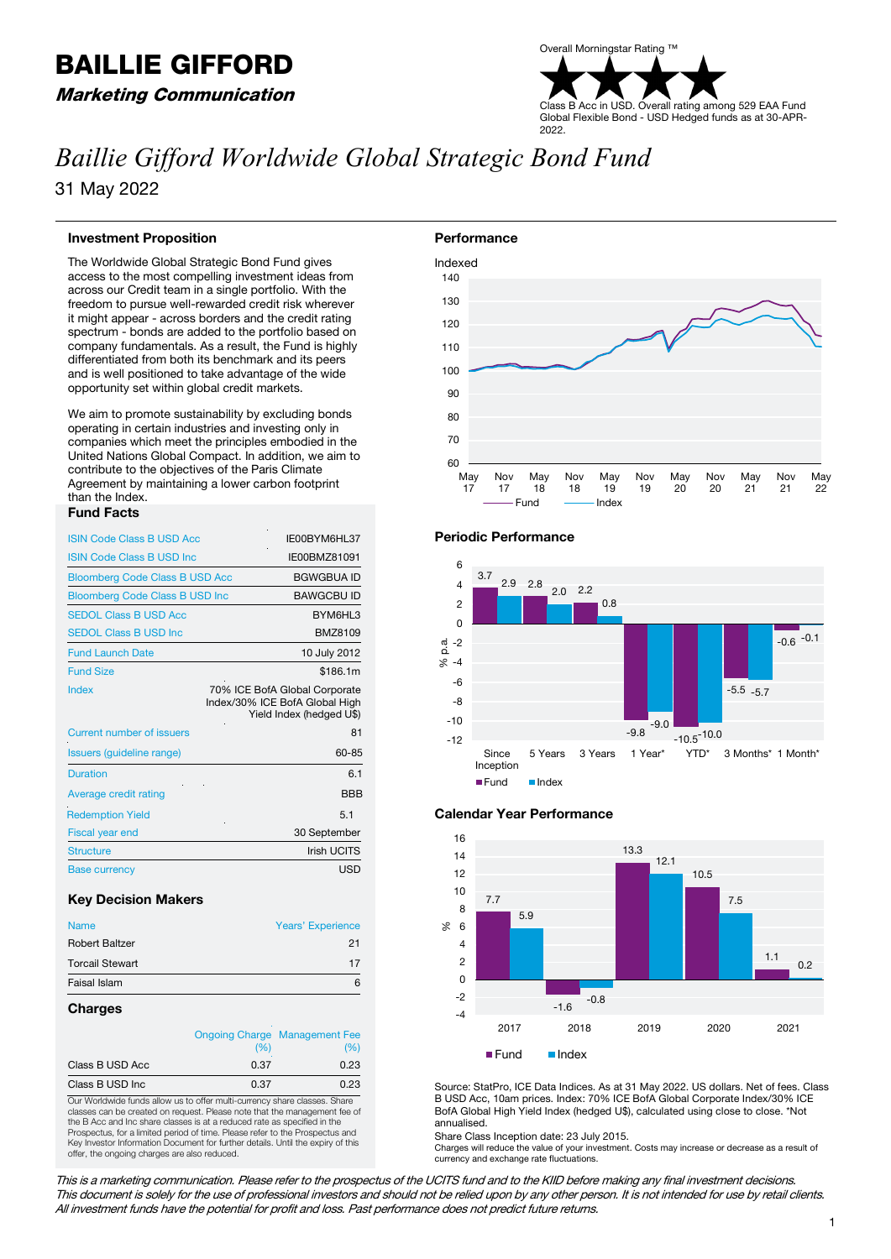# BAILLIE GIFFORD

Marketing Communication

## Overall Morningstar Rating ™ Class B Acc in USD. Overall rating among 529 EAA Fund Global Flexible Bond - USD Hedged funds as at 30-APR-2022.

## *Baillie Gifford Worldwide Global Strategic Bond Fund*

31 May 2022

## **Investment Proposition**

The Worldwide Global Strategic Bond Fund gives access to the most compelling investment ideas from across our Credit team in a single portfolio. With the freedom to pursue well-rewarded credit risk wherever it might appear - across borders and the credit rating spectrum - bonds are added to the portfolio based on company fundamentals. As a result, the Fund is highly differentiated from both its benchmark and its peers and is well positioned to take advantage of the wide opportunity set within global credit markets.

We aim to promote sustainability by excluding bonds operating in certain industries and investing only in companies which meet the principles embodied in the United Nations Global Compact. In addition, we aim to contribute to the objectives of the Paris Climate Agreement by maintaining a lower carbon footprint than the Index.

## **Fund Facts**

| <b>ISIN Code Class B USD Acc</b>      | IE00BYM6HL37                                                                                |
|---------------------------------------|---------------------------------------------------------------------------------------------|
| <b>ISIN Code Class B USD Inc.</b>     | IE00BMZ81091                                                                                |
| <b>Bloomberg Code Class B USD Acc</b> | <b>BGWGBUA ID</b>                                                                           |
| <b>Bloomberg Code Class B USD Inc</b> | <b>BAWGCBU ID</b>                                                                           |
| <b>SEDOL Class B USD Acc</b>          | BYM6HL3                                                                                     |
| <b>SEDOL Class B USD Inc.</b>         | BMZ8109                                                                                     |
| <b>Fund Launch Date</b>               | 10 July 2012                                                                                |
| <b>Fund Size</b>                      | \$186.1m                                                                                    |
| Index                                 | 70% ICE BofA Global Corporate<br>Index/30% ICE BofA Global High<br>Yield Index (hedged U\$) |
| <b>Current number of issuers</b>      | 81                                                                                          |
| Issuers (guideline range)             | 60-85                                                                                       |
| <b>Duration</b>                       | 6.1                                                                                         |
| Average credit rating                 | <b>BBB</b>                                                                                  |
| <b>Redemption Yield</b>               | 5.1                                                                                         |
| Fiscal year end                       | 30 September                                                                                |
| <b>Structure</b>                      | <b>Irish UCITS</b>                                                                          |
| <b>Base currency</b>                  | <b>USD</b>                                                                                  |

## **Key Decision Makers**

| <b>Name</b>            | <b>Years' Experience</b> |  |  |
|------------------------|--------------------------|--|--|
| <b>Robert Baltzer</b>  | 21                       |  |  |
| <b>Torcail Stewart</b> | 17                       |  |  |
| Faisal Islam           |                          |  |  |

## **Charges**

|                  |      | <b>Ongoing Charge Management Fee</b> |  |
|------------------|------|--------------------------------------|--|
|                  | (%)  | '%'                                  |  |
| Class B USD Acc  | 0.37 | 0.23                                 |  |
| Class B USD Inc. | 0.37 | 0.23                                 |  |

Our Worldwide funds allow us to offer multi-currency share classes. Share classes can be created on request. Please note that the management fee of the B Acc and Inc share classes is at a reduced rate as specified in the Prospectus, for a limited period of time. Please refer to the Prospectus and Key Investor Information Document for further details. Until the expiry of this offer, the ongoing charges are also reduced.



## **Periodic Performance**







Source: StatPro, ICE Data Indices. As at 31 May 2022. US dollars. Net of fees. Class B USD Acc, 10am prices. Index: 70% ICE BofA Global Corporate Index/30% ICE BofA Global High Yield Index (hedged U\$), calculated using close to close. \*Not annualised.

Share Class Inception date: 23 July 2015.

Charges will reduce the value of your investment. Costs may increase or decrease as a result of currency and exchange rate fluctuations.

This is a marketing communication. Please refer to the prospectus of the UCITS fund and to the KIID before making any final investment decisions. This document is solely for the use of professional investors and should not be relied upon by any other person. It is not intended for use by retail clients. All investment funds have the potential for profit and loss. Past performance does not predict future returns.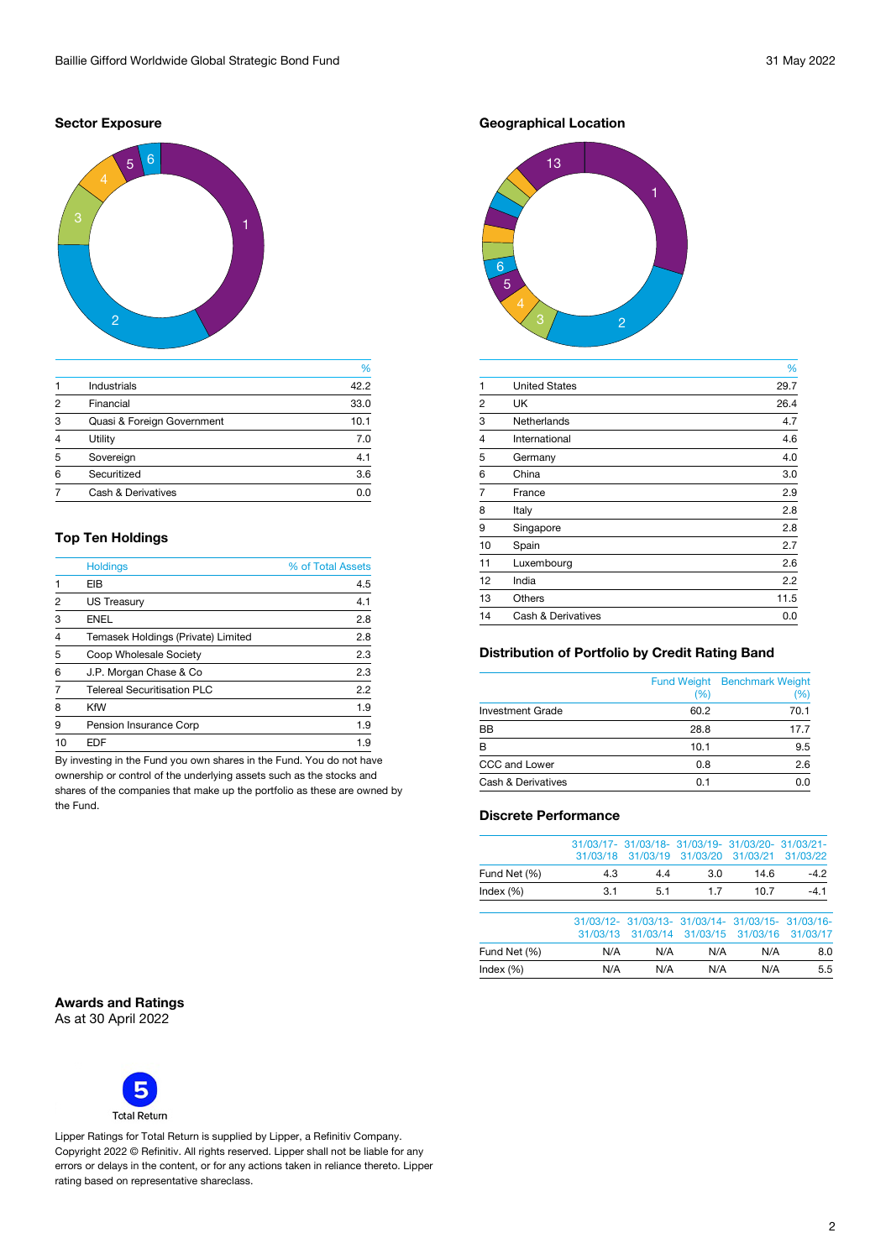## **Sector Exposure**



|                |                               | %    |
|----------------|-------------------------------|------|
|                | <b>Industrials</b>            | 42.2 |
| $\mathfrak{p}$ | Financial                     | 33.0 |
| 3              | Quasi & Foreign Government    | 10.1 |
| 4              | Utility                       | 7.0  |
| 5              | Sovereign                     | 4.1  |
| 6              | Securitized                   | 3.6  |
|                | <b>Cash &amp; Derivatives</b> | 0.0  |

## **Top Ten Holdings**

| <b>Holdings</b>                    | % of Total Assets |
|------------------------------------|-------------------|
| EIB                                | 4.5               |
| <b>US Treasury</b>                 | 4.1               |
| <b>ENEL</b>                        | 2.8               |
| Temasek Holdings (Private) Limited | 2.8               |
| Coop Wholesale Society             | 2.3               |
| J.P. Morgan Chase & Co.            | 2.3               |
| <b>Telereal Securitisation PLC</b> | 2.2               |
| <b>KfW</b>                         | 1.9               |
| Pension Insurance Corp             | 1.9               |
| FDF                                | 19                |
|                                    |                   |

By investing in the Fund you own shares in the Fund. You do not have ownership or control of the underlying assets such as the stocks and shares of the companies that make up the portfolio as these are owned by the Fund.

**Geographical Location**



|                |                               | %    |
|----------------|-------------------------------|------|
| 1              | <b>United States</b>          | 29.7 |
| $\overline{2}$ | <b>UK</b>                     | 26.4 |
| 3              | <b>Netherlands</b>            | 4.7  |
| $\overline{4}$ | International                 | 4.6  |
| 5              | Germany                       | 4.0  |
| 6              | China                         | 3.0  |
| $\overline{7}$ | France                        | 2.9  |
| 8              | Italy                         | 2.8  |
| 9              | Singapore                     | 2.8  |
| 10             | Spain                         | 2.7  |
| 11             | Luxembourg                    | 2.6  |
| 12             | India                         | 2.2  |
| 13             | <b>Others</b>                 | 11.5 |
| 14             | <b>Cash &amp; Derivatives</b> | 0.0  |

## **Distribution of Portfolio by Credit Rating Band**

|                               | (%)  | <b>Fund Weight Benchmark Weight</b><br>$\%$ |
|-------------------------------|------|---------------------------------------------|
| <b>Investment Grade</b>       | 60.2 | 70.1                                        |
| <b>BB</b>                     | 28.8 | 17.7                                        |
| R                             | 10.1 | 9.5                                         |
| CCC and Lower                 | 0.8  | 2.6                                         |
| <b>Cash &amp; Derivatives</b> | 0.1  | ი ი                                         |

## **Discrete Performance**

|              |     | 31/03/17- 31/03/18- 31/03/19- 31/03/20- 31/03/21-<br>31/03/18 31/03/19 31/03/20 31/03/21 31/03/22 |    |      |        |
|--------------|-----|---------------------------------------------------------------------------------------------------|----|------|--------|
| Fund Net (%) | 4.3 | 44                                                                                                | 30 | 146  | $-42$  |
| Index $(\%)$ | 3.1 | 5.1                                                                                               | 17 | 10.7 | $-4.1$ |
|              |     |                                                                                                   |    |      |        |

|              |     | 31/03/12- 31/03/13- 31/03/14- 31/03/15- 31/03/16-<br>31/03/13 31/03/14 31/03/15 31/03/16 31/03/17 |     |     |     |
|--------------|-----|---------------------------------------------------------------------------------------------------|-----|-----|-----|
| Fund Net (%) | N/A | N/A                                                                                               | N/A | N/A | 8.0 |
| Index $(\%)$ | N/A | N/A                                                                                               | N/A | N/A | 5.5 |

**Awards and Ratings**  As at 30 April 2022



Lipper Ratings for Total Return is supplied by Lipper, a Refinitiv Company. Copyright 2022 © Refinitiv. All rights reserved. Lipper shall not be liable for any errors or delays in the content, or for any actions taken in reliance thereto. Lipper rating based on representative shareclass.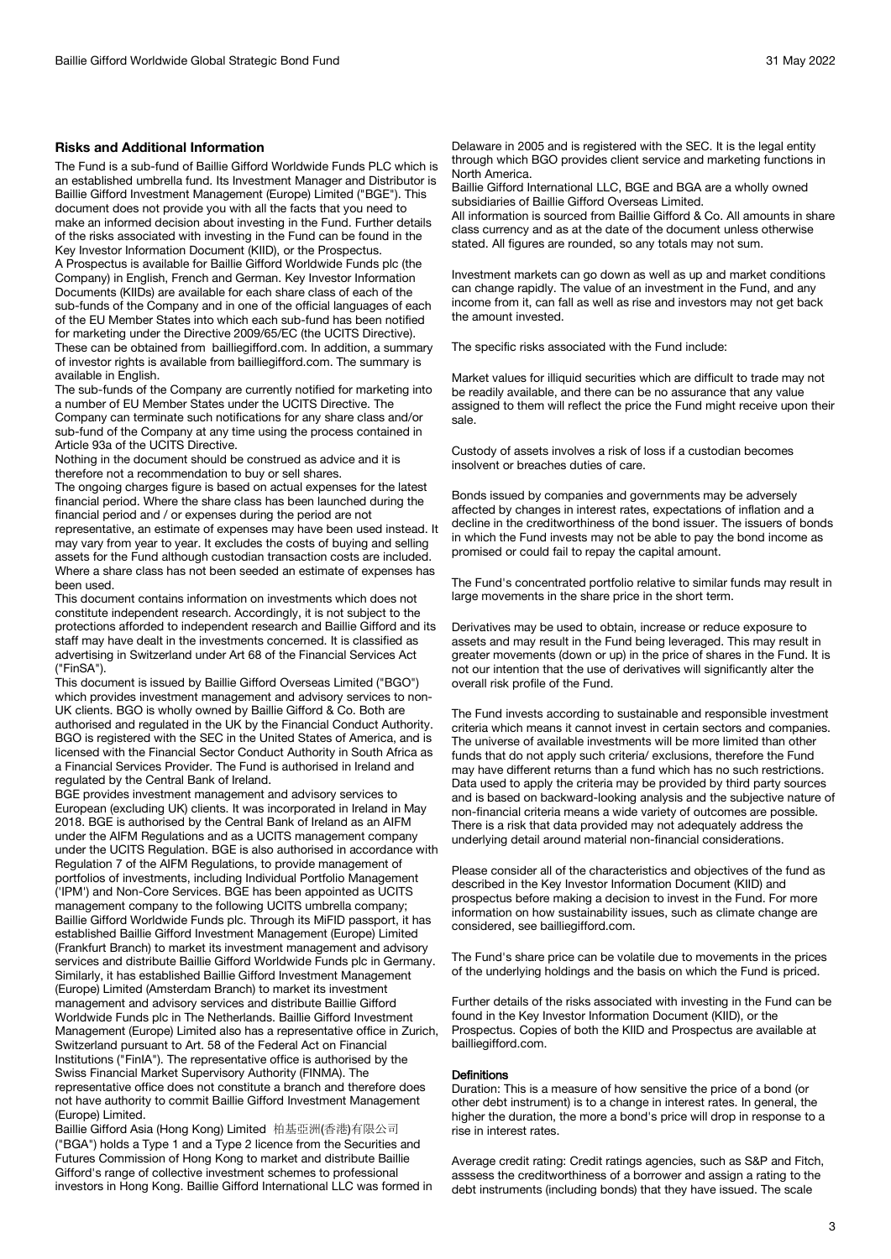### **Risks and Additional Information**

The Fund is a sub-fund of Baillie Gifford Worldwide Funds PLC which is an established umbrella fund. Its Investment Manager and Distributor is Baillie Gifford Investment Management (Europe) Limited ("BGE"). This document does not provide you with all the facts that you need to make an informed decision about investing in the Fund. Further details of the risks associated with investing in the Fund can be found in the Key Investor Information Document (KIID), or the Prospectus. A Prospectus is available for Baillie Gifford Worldwide Funds plc (the Company) in English, French and German. Key Investor Information Documents (KIIDs) are available for each share class of each of the sub-funds of the Company and in one of the official languages of each of the EU Member States into which each sub-fund has been notified for marketing under the Directive 2009/65/EC (the UCITS Directive). These can be obtained from bailliegifford.com. In addition, a summary of investor rights is available from bailliegifford.com. The summary is available in English.

The sub-funds of the Company are currently notified for marketing into a number of EU Member States under the UCITS Directive. The Company can terminate such notifications for any share class and/or sub-fund of the Company at any time using the process contained in Article 93a of the UCITS Directive.

Nothing in the document should be construed as advice and it is therefore not a recommendation to buy or sell shares.

The ongoing charges figure is based on actual expenses for the latest financial period. Where the share class has been launched during the financial period and / or expenses during the period are not representative, an estimate of expenses may have been used instead. It may vary from year to year. It excludes the costs of buying and selling assets for the Fund although custodian transaction costs are included. Where a share class has not been seeded an estimate of expenses has been used.

This document contains information on investments which does not constitute independent research. Accordingly, it is not subject to the protections afforded to independent research and Baillie Gifford and its staff may have dealt in the investments concerned. It is classified as advertising in Switzerland under Art 68 of the Financial Services Act ("FinSA").

This document is issued by Baillie Gifford Overseas Limited ("BGO") which provides investment management and advisory services to non-UK clients. BGO is wholly owned by Baillie Gifford & Co. Both are authorised and regulated in the UK by the Financial Conduct Authority. BGO is registered with the SEC in the United States of America, and is licensed with the Financial Sector Conduct Authority in South Africa as a Financial Services Provider. The Fund is authorised in Ireland and regulated by the Central Bank of Ireland.

BGE provides investment management and advisory services to European (excluding UK) clients. It was incorporated in Ireland in May 2018. BGE is authorised by the Central Bank of Ireland as an AIFM under the AIFM Regulations and as a UCITS management company under the UCITS Regulation. BGE is also authorised in accordance with Regulation 7 of the AIFM Regulations, to provide management of portfolios of investments, including Individual Portfolio Management ('IPM') and Non-Core Services. BGE has been appointed as UCITS management company to the following UCITS umbrella company; Baillie Gifford Worldwide Funds plc. Through its MiFID passport, it has established Baillie Gifford Investment Management (Europe) Limited (Frankfurt Branch) to market its investment management and advisory services and distribute Baillie Gifford Worldwide Funds plc in Germany. Similarly, it has established Baillie Gifford Investment Management (Europe) Limited (Amsterdam Branch) to market its investment management and advisory services and distribute Baillie Gifford Worldwide Funds plc in The Netherlands. Baillie Gifford Investment Management (Europe) Limited also has a representative office in Zurich, Switzerland pursuant to Art. 58 of the Federal Act on Financial Institutions ("FinIA"). The representative office is authorised by the Swiss Financial Market Supervisory Authority (FINMA). The representative office does not constitute a branch and therefore does not have authority to commit Baillie Gifford Investment Management (Europe) Limited.

Baillie Gifford Asia (Hong Kong) Limited 柏基亞洲(香港)有限公司 ("BGA") holds a Type 1 and a Type 2 licence from the Securities and Futures Commission of Hong Kong to market and distribute Baillie Gifford's range of collective investment schemes to professional investors in Hong Kong. Baillie Gifford International LLC was formed in Delaware in 2005 and is registered with the SEC. It is the legal entity through which BGO provides client service and marketing functions in North America.

Baillie Gifford International LLC, BGE and BGA are a wholly owned subsidiaries of Baillie Gifford Overseas Limited.

All information is sourced from Baillie Gifford & Co. All amounts in share class currency and as at the date of the document unless otherwise stated. All figures are rounded, so any totals may not sum.

Investment markets can go down as well as up and market conditions can change rapidly. The value of an investment in the Fund, and any income from it, can fall as well as rise and investors may not get back the amount invested.

The specific risks associated with the Fund include:

Market values for illiquid securities which are difficult to trade may not be readily available, and there can be no assurance that any value assigned to them will reflect the price the Fund might receive upon their sale.

Custody of assets involves a risk of loss if a custodian becomes insolvent or breaches duties of care.

Bonds issued by companies and governments may be adversely affected by changes in interest rates, expectations of inflation and a decline in the creditworthiness of the bond issuer. The issuers of bonds in which the Fund invests may not be able to pay the bond income as promised or could fail to repay the capital amount.

The Fund's concentrated portfolio relative to similar funds may result in large movements in the share price in the short term.

Derivatives may be used to obtain, increase or reduce exposure to assets and may result in the Fund being leveraged. This may result in greater movements (down or up) in the price of shares in the Fund. It is not our intention that the use of derivatives will significantly alter the overall risk profile of the Fund.

The Fund invests according to sustainable and responsible investment criteria which means it cannot invest in certain sectors and companies. The universe of available investments will be more limited than other funds that do not apply such criteria/ exclusions, therefore the Fund may have different returns than a fund which has no such restrictions. Data used to apply the criteria may be provided by third party sources and is based on backward-looking analysis and the subjective nature of non-financial criteria means a wide variety of outcomes are possible. There is a risk that data provided may not adequately address the underlying detail around material non-financial considerations.

Please consider all of the characteristics and objectives of the fund as described in the Key Investor Information Document (KIID) and prospectus before making a decision to invest in the Fund. For more information on how sustainability issues, such as climate change are considered, see bailliegifford.com.

The Fund's share price can be volatile due to movements in the prices of the underlying holdings and the basis on which the Fund is priced.

Further details of the risks associated with investing in the Fund can be found in the Key Investor Information Document (KIID), or the Prospectus. Copies of both the KIID and Prospectus are available at bailliegifford.com.

## **Definitions**

Duration: This is a measure of how sensitive the price of a bond (or other debt instrument) is to a change in interest rates. In general, the higher the duration, the more a bond's price will drop in response to a rise in interest rates.

Average credit rating: Credit ratings agencies, such as S&P and Fitch, asssess the creditworthiness of a borrower and assign a rating to the debt instruments (including bonds) that they have issued. The scale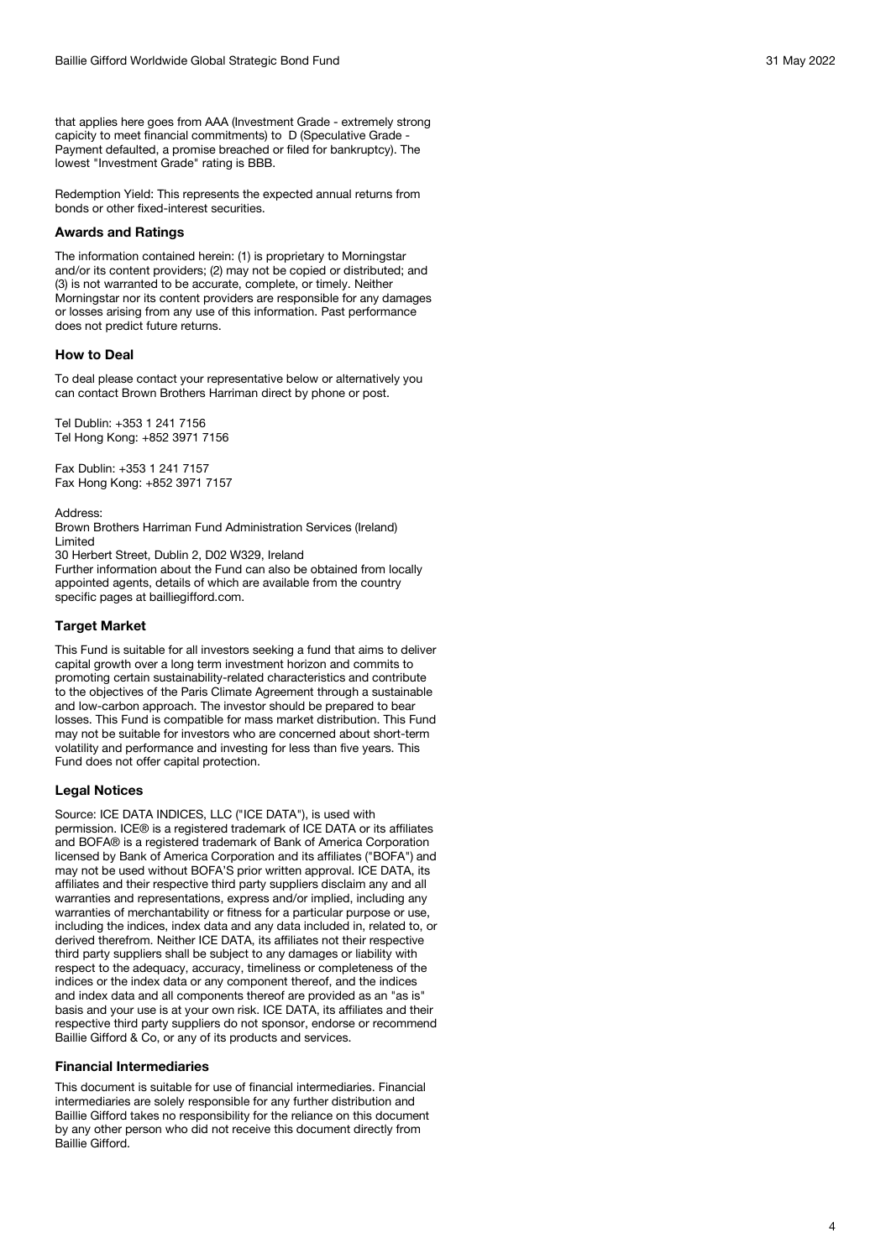that applies here goes from AAA (Investment Grade - extremely strong capicity to meet financial commitments) to D (Speculative Grade - Payment defaulted, a promise breached or filed for bankruptcy). The lowest "Investment Grade" rating is BBB.

Redemption Yield: This represents the expected annual returns from bonds or other fixed -interest securities.

## **Awards and Ratings**

The information contained herein: (1) is proprietary to Morningstar and/or its content providers; (2) may not be copied or distributed; and (3) is not warranted to be accurate, complete, or timely. Neither Morningstar nor its content providers are responsible for any damages or losses arising from any use of this information. Past performance does not predict future returns.

## **How to Deal**

To deal please contact your representative below or alternatively you can contact Brown Brothers Harriman direct by phone or post.

Tel Dublin: +353 1 241 7156 Tel Hong Kong: +852 3971 7156

Fax Dublin: +353 1 241 7157 Fax Hong Kong: +852 3971 7157

Address:

Brown Brothers Harriman Fund Administration Services (Ireland) Limited

30 Herbert Street, Dublin 2, D02 W329, Ireland

Further information about the Fund can also be obtained from locally appointed agents, details of which are available from the country specific pages at bailliegifford.com.

## **Target Market**

This Fund is suitable for all investors seeking a fund that aims to deliver capital growth over a long term investment horizon and commits to promoting certain sustainability-related characteristics and contribute to the objectives of the Paris Climate Agreement through a sustainable and low -carbon approach. The investor should be prepared to bear losses. This Fund is compatible for mass market distribution. This Fund may not be suitable for investors who are concerned about short -term volatility and performance and investing for less than five years. This Fund does not offer capital protection.

#### **Legal Notices**

Source: ICE DATA INDICES, LLC ("ICE DATA"), is used with permission. ICE® is a registered trademark of ICE DATA or its affiliates and BOFA® is a registered trademark of Bank of America Corporation licensed by Bank of America Corporation and its affiliates ("BOFA") and may not be used without BOFA'S prior written approval. ICE DATA, its affiliates and their respective third party suppliers disclaim any and all warranties and representations, express and/or implied, including any warranties of merchantability or fitness for a particular purpose or use, including the indices, index data and any data included in, related to, or derived therefrom. Neither ICE DATA, its affiliates not their respective third party suppliers shall be subject to any damages or liability with respect to the adequacy, accuracy, timeliness or completeness of the indices or the index data or any component thereof, and the indices and index data and all components thereof are provided as an "as is" basis and your use is at your own risk. ICE DATA, its affiliates and their respective third party suppliers do not sponsor, endorse or recommend Baillie Gifford & Co, or any of its products and services.

#### **Financial Intermediaries**

This document is suitable for use of financial intermediaries. Financial intermediaries are solely responsible for any further distribution and Baillie Gifford takes no responsibility for the reliance on this document by any other person who did not receive this document directly from Baillie Gifford.